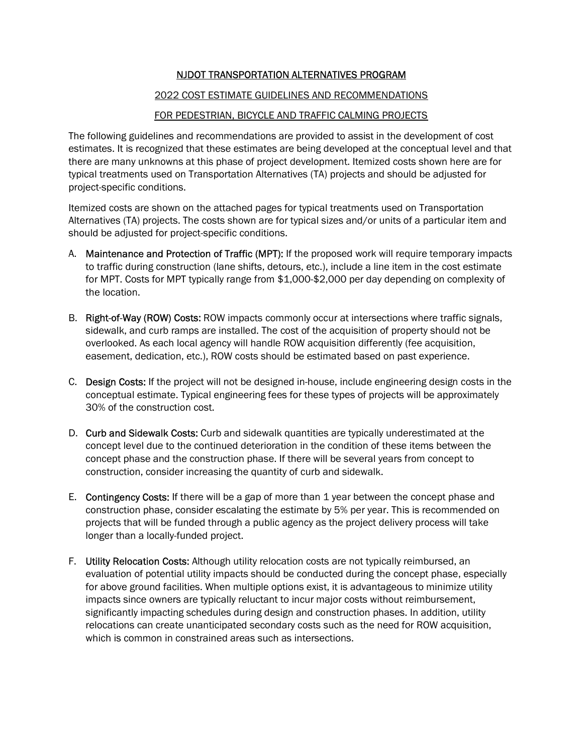## NJDOT TRANSPORTATION ALTERNATIVES PROGRAM

## 2022 COST ESTIMATE GUIDELINES AND RECOMMENDATIONS

## FOR PEDESTRIAN, BICYCLE AND TRAFFIC CALMING PROJECTS

The following guidelines and recommendations are provided to assist in the development of cost estimates. It is recognized that these estimates are being developed at the conceptual level and that there are many unknowns at this phase of project development. Itemized costs shown here are for typical treatments used on Transportation Alternatives (TA) projects and should be adjusted for project-specific conditions.

Itemized costs are shown on the attached pages for typical treatments used on Transportation Alternatives (TA) projects. The costs shown are for typical sizes and/or units of a particular item and should be adjusted for project-specific conditions.

- A. Maintenance and Protection of Traffic (MPT): If the proposed work will require temporary impacts to traffic during construction (lane shifts, detours, etc.), include a line item in the cost estimate for MPT. Costs for MPT typically range from \$1,000-\$2,000 per day depending on complexity of the location.
- B. Right-of-Way (ROW) Costs: ROW impacts commonly occur at intersections where traffic signals, sidewalk, and curb ramps are installed. The cost of the acquisition of property should not be overlooked. As each local agency will handle ROW acquisition differently (fee acquisition, easement, dedication, etc.), ROW costs should be estimated based on past experience.
- C. Design Costs: If the project will not be designed in-house, include engineering design costs in the conceptual estimate. Typical engineering fees for these types of projects will be approximately 30% of the construction cost.
- D. Curb and Sidewalk Costs: Curb and sidewalk quantities are typically underestimated at the concept level due to the continued deterioration in the condition of these items between the concept phase and the construction phase. If there will be several years from concept to construction, consider increasing the quantity of curb and sidewalk.
- E. Contingency Costs: If there will be a gap of more than 1 year between the concept phase and construction phase, consider escalating the estimate by 5% per year. This is recommended on projects that will be funded through a public agency as the project delivery process will take longer than a locally-funded project.
- F. Utility Relocation Costs: Although utility relocation costs are not typically reimbursed, an evaluation of potential utility impacts should be conducted during the concept phase, especially for above ground facilities. When multiple options exist, it is advantageous to minimize utility impacts since owners are typically reluctant to incur major costs without reimbursement, significantly impacting schedules during design and construction phases. In addition, utility relocations can create unanticipated secondary costs such as the need for ROW acquisition, which is common in constrained areas such as intersections.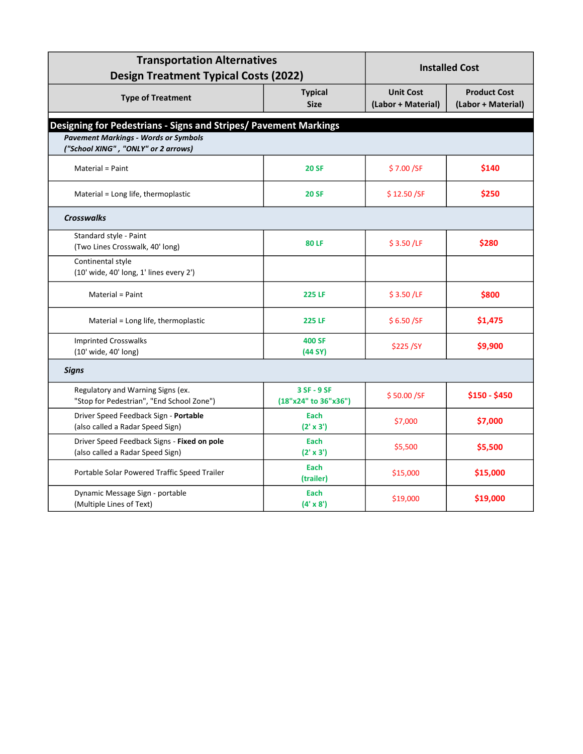| <b>Transportation Alternatives</b><br><b>Design Treatment Typical Costs (2022)</b> |                                     | <b>Installed Cost</b>                  |                                           |
|------------------------------------------------------------------------------------|-------------------------------------|----------------------------------------|-------------------------------------------|
| <b>Type of Treatment</b>                                                           | <b>Typical</b><br><b>Size</b>       | <b>Unit Cost</b><br>(Labor + Material) | <b>Product Cost</b><br>(Labor + Material) |
| Designing for Pedestrians - Signs and Stripes/ Pavement Markings                   |                                     |                                        |                                           |
| <b>Pavement Markings - Words or Symbols</b><br>("School XING", "ONLY" or 2 arrows) |                                     |                                        |                                           |
| Material = Paint                                                                   | <b>20 SF</b>                        | \$7.00/SF                              | \$140                                     |
| Material = Long life, thermoplastic                                                | <b>20 SF</b>                        | \$12.50 / SF                           | \$250                                     |
| <b>Crosswalks</b>                                                                  |                                     |                                        |                                           |
| Standard style - Paint<br>(Two Lines Crosswalk, 40' long)                          | <b>80 LF</b>                        | \$3.50 / LF                            | \$280                                     |
| Continental style<br>(10' wide, 40' long, 1' lines every 2')                       |                                     |                                        |                                           |
| Material = Paint                                                                   | <b>225 LF</b>                       | \$3.50 / LF                            | \$800                                     |
| Material = Long life, thermoplastic                                                | <b>225 LF</b>                       | \$6.50/SF                              | \$1,475                                   |
| <b>Imprinted Crosswalks</b><br>(10' wide, 40' long)                                | <b>400 SF</b><br>(44 SY)            | \$225/SY                               | \$9,900                                   |
| <b>Signs</b>                                                                       |                                     |                                        |                                           |
| Regulatory and Warning Signs (ex.<br>"Stop for Pedestrian", "End School Zone")     | 3 SF - 9 SF<br>(18"x24" to 36"x36") | \$50.00/SF                             | \$150 - \$450                             |
| Driver Speed Feedback Sign - Portable<br>(also called a Radar Speed Sign)          | Each<br>$(2' \times 3')$            | \$7,000                                | \$7,000                                   |
| Driver Speed Feedback Signs - Fixed on pole<br>(also called a Radar Speed Sign)    | Each<br>(2' x 3')                   | \$5,500                                | \$5,500                                   |
| Portable Solar Powered Traffic Speed Trailer                                       | Each<br>(trailer)                   | \$15,000                               | \$15,000                                  |
| Dynamic Message Sign - portable<br>(Multiple Lines of Text)                        | Each<br>$(4' \times 8')$            | \$19,000                               | \$19,000                                  |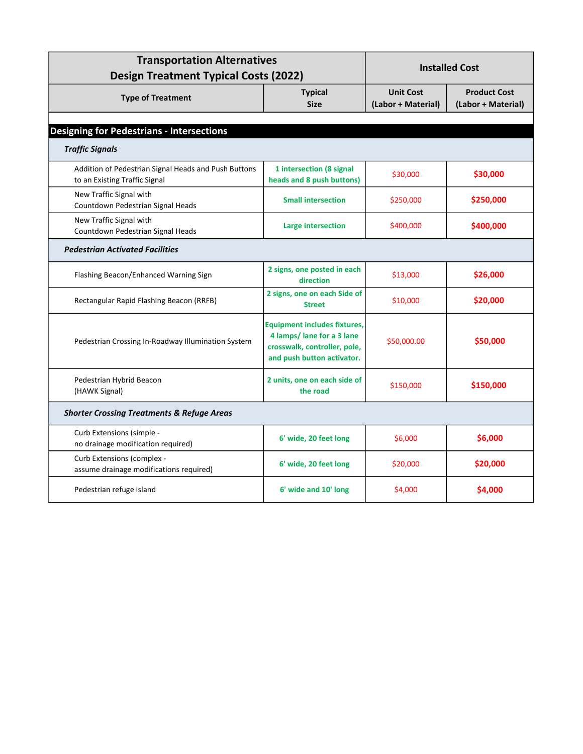| <b>Transportation Alternatives</b><br><b>Design Treatment Typical Costs (2022)</b>    |                                                                                                                                 | <b>Installed Cost</b>                  |                                           |  |
|---------------------------------------------------------------------------------------|---------------------------------------------------------------------------------------------------------------------------------|----------------------------------------|-------------------------------------------|--|
| <b>Type of Treatment</b>                                                              | <b>Typical</b><br><b>Size</b>                                                                                                   | <b>Unit Cost</b><br>(Labor + Material) | <b>Product Cost</b><br>(Labor + Material) |  |
| <b>Designing for Pedestrians - Intersections</b>                                      |                                                                                                                                 |                                        |                                           |  |
| <b>Traffic Signals</b>                                                                |                                                                                                                                 |                                        |                                           |  |
| Addition of Pedestrian Signal Heads and Push Buttons<br>to an Existing Traffic Signal | 1 intersection (8 signal<br>heads and 8 push buttons)                                                                           | \$30,000                               | \$30,000                                  |  |
| New Traffic Signal with<br>Countdown Pedestrian Signal Heads                          | <b>Small intersection</b>                                                                                                       | \$250,000                              | \$250,000                                 |  |
| New Traffic Signal with<br>Countdown Pedestrian Signal Heads                          | <b>Large intersection</b>                                                                                                       | \$400,000                              | \$400,000                                 |  |
| <b>Pedestrian Activated Facilities</b>                                                |                                                                                                                                 |                                        |                                           |  |
| Flashing Beacon/Enhanced Warning Sign                                                 | 2 signs, one posted in each<br>direction                                                                                        | \$13,000                               | \$26,000                                  |  |
| Rectangular Rapid Flashing Beacon (RRFB)                                              | 2 signs, one on each Side of<br><b>Street</b>                                                                                   | \$10,000                               | \$20,000                                  |  |
| Pedestrian Crossing In-Roadway Illumination System                                    | <b>Equipment includes fixtures,</b><br>4 lamps/ lane for a 3 lane<br>crosswalk, controller, pole,<br>and push button activator. | \$50,000.00                            | \$50,000                                  |  |
| Pedestrian Hybrid Beacon<br>(HAWK Signal)                                             | 2 units, one on each side of<br>the road                                                                                        | \$150,000                              | \$150,000                                 |  |
| <b>Shorter Crossing Treatments &amp; Refuge Areas</b>                                 |                                                                                                                                 |                                        |                                           |  |
| Curb Extensions (simple -<br>no drainage modification required)                       | 6' wide, 20 feet long                                                                                                           | \$6,000                                | \$6,000                                   |  |
| Curb Extensions (complex -<br>assume drainage modifications required)                 | 6' wide, 20 feet long                                                                                                           | \$20,000                               | \$20,000                                  |  |
| Pedestrian refuge island                                                              | 6' wide and 10' long                                                                                                            | \$4,000                                | \$4,000                                   |  |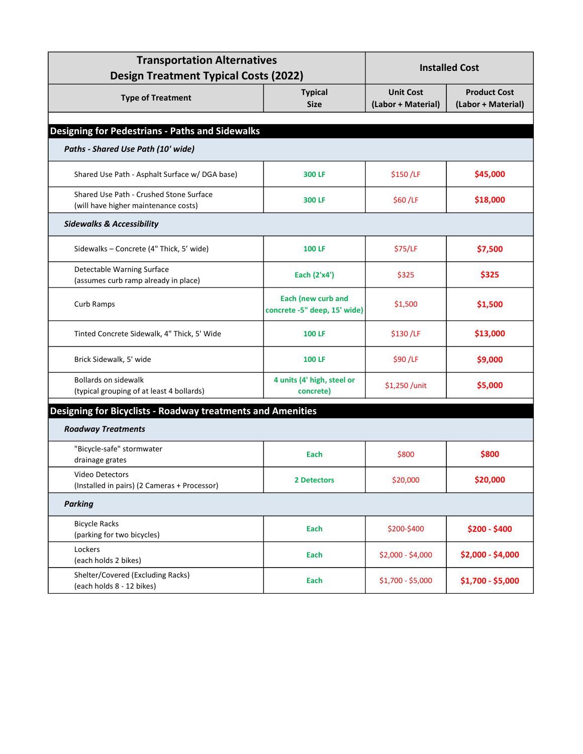| <b>Transportation Alternatives</b><br><b>Design Treatment Typical Costs (2022)</b> |                                                    | <b>Installed Cost</b>                  |                                           |  |
|------------------------------------------------------------------------------------|----------------------------------------------------|----------------------------------------|-------------------------------------------|--|
| <b>Type of Treatment</b>                                                           | <b>Typical</b><br><b>Size</b>                      | <b>Unit Cost</b><br>(Labor + Material) | <b>Product Cost</b><br>(Labor + Material) |  |
|                                                                                    |                                                    |                                        |                                           |  |
| <b>Designing for Pedestrians - Paths and Sidewalks</b>                             |                                                    |                                        |                                           |  |
| Paths - Shared Use Path (10' wide)                                                 |                                                    |                                        |                                           |  |
| Shared Use Path - Asphalt Surface w/ DGA base)                                     | 300 LF                                             | \$150/LF                               | \$45,000                                  |  |
| Shared Use Path - Crushed Stone Surface<br>(will have higher maintenance costs)    | 300 LF                                             | \$60/LF                                | \$18,000                                  |  |
| <b>Sidewalks &amp; Accessibility</b>                                               |                                                    |                                        |                                           |  |
| Sidewalks - Concrete (4" Thick, 5' wide)                                           | <b>100 LF</b>                                      | \$75/LF                                | \$7,500                                   |  |
| Detectable Warning Surface<br>(assumes curb ramp already in place)                 | Each (2'x4')                                       | \$325                                  | \$325                                     |  |
| Curb Ramps                                                                         | Each (new curb and<br>concrete -5" deep, 15' wide) | \$1,500                                | \$1,500                                   |  |
| Tinted Concrete Sidewalk, 4" Thick, 5' Wide                                        | <b>100 LF</b>                                      | \$130/LF                               | \$13,000                                  |  |
| Brick Sidewalk, 5' wide                                                            | <b>100 LF</b>                                      | \$90/LF                                | \$9,000                                   |  |
| <b>Bollards on sidewalk</b><br>(typical grouping of at least 4 bollards)           | 4 units (4' high, steel or<br>concrete)            | \$1,250 /unit                          | \$5,000                                   |  |
| Designing for Bicyclists - Roadway treatments and Amenities                        |                                                    |                                        |                                           |  |
| <b>Roadway Treatments</b>                                                          |                                                    |                                        |                                           |  |
| "Bicycle-safe" stormwater<br>drainage grates                                       | Each                                               | \$800                                  | \$800                                     |  |
| Video Detectors<br>(Installed in pairs) (2 Cameras + Processor)                    | <b>2 Detectors</b>                                 | \$20,000                               | \$20,000                                  |  |
| <b>Parking</b>                                                                     |                                                    |                                        |                                           |  |
| <b>Bicycle Racks</b><br>(parking for two bicycles)                                 | Each                                               | \$200-\$400                            | \$200 - \$400                             |  |
| Lockers<br>(each holds 2 bikes)                                                    | Each                                               | $$2,000 - $4,000$                      | \$2,000 - \$4,000                         |  |
| Shelter/Covered (Excluding Racks)<br>(each holds 8 - 12 bikes)                     | Each                                               | $$1,700 - $5,000$                      | \$1,700 - \$5,000                         |  |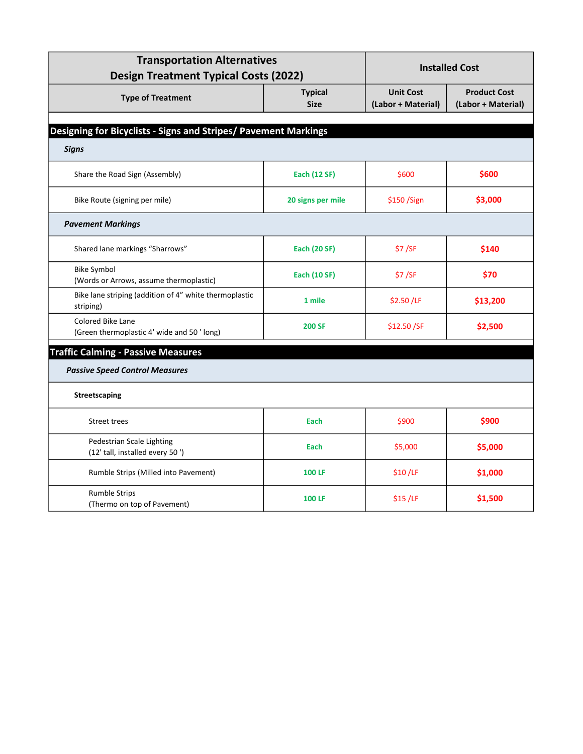| <b>Transportation Alternatives</b><br><b>Design Treatment Typical Costs (2022)</b> |                               | <b>Installed Cost</b>                  |                                           |
|------------------------------------------------------------------------------------|-------------------------------|----------------------------------------|-------------------------------------------|
| <b>Type of Treatment</b>                                                           | <b>Typical</b><br><b>Size</b> | <b>Unit Cost</b><br>(Labor + Material) | <b>Product Cost</b><br>(Labor + Material) |
| Designing for Bicyclists - Signs and Stripes/ Pavement Markings                    |                               |                                        |                                           |
| <b>Signs</b>                                                                       |                               |                                        |                                           |
| Share the Road Sign (Assembly)                                                     | Each (12 SF)                  | \$600                                  | \$600                                     |
| Bike Route (signing per mile)                                                      | 20 signs per mile             | \$150/Sign                             | \$3,000                                   |
| <b>Pavement Markings</b>                                                           |                               |                                        |                                           |
| Shared lane markings "Sharrows"                                                    | <b>Each (20 SF)</b>           | \$7/SF                                 | \$140                                     |
| <b>Bike Symbol</b><br>(Words or Arrows, assume thermoplastic)                      | <b>Each (10 SF)</b>           | \$7/SF                                 | \$70                                      |
| Bike lane striping (addition of 4" white thermoplastic<br>striping)                | 1 mile                        | \$2.50 /LF                             | \$13,200                                  |
| <b>Colored Bike Lane</b><br>(Green thermoplastic 4' wide and 50 'long)             | <b>200 SF</b>                 | \$12.50 /SF                            | \$2,500                                   |
| <b>Traffic Calming - Passive Measures</b>                                          |                               |                                        |                                           |
| <b>Passive Speed Control Measures</b>                                              |                               |                                        |                                           |
| <b>Streetscaping</b>                                                               |                               |                                        |                                           |
| Street trees                                                                       | Each                          | \$900                                  | \$900                                     |
| Pedestrian Scale Lighting<br>(12' tall, installed every 50')                       | Each                          | \$5,000                                | \$5,000                                   |
| Rumble Strips (Milled into Pavement)                                               | <b>100 LF</b>                 | \$10/LF                                | \$1,000                                   |
| <b>Rumble Strips</b><br>(Thermo on top of Pavement)                                | <b>100 LF</b>                 | \$15/LF                                | \$1,500                                   |